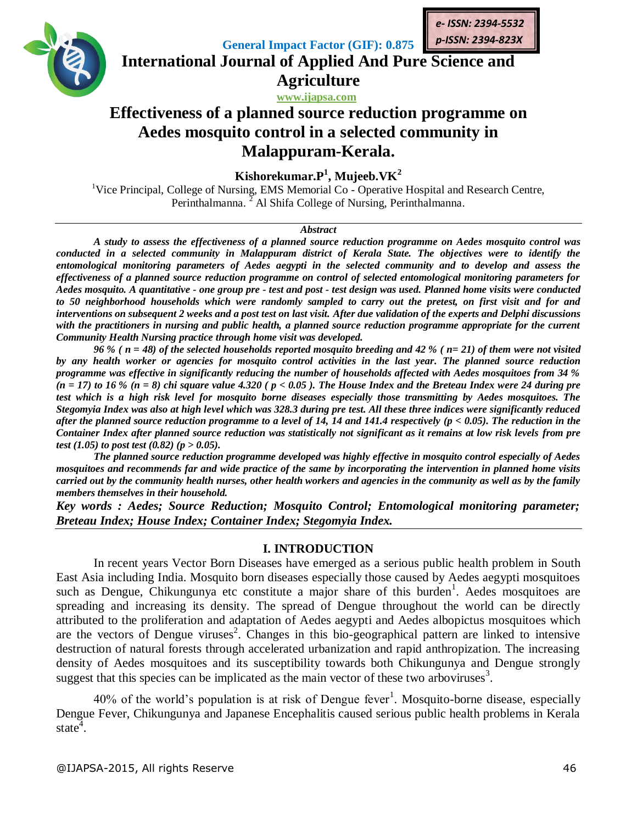

**General Impact Factor (GIF): 0.875 International Journal of Applied And Pure Science and**

# **www.ijapsa.com Effectiveness of a planned source reduction programme on Aedes mosquito control in a selected community in Malappuram-Kerala.**

**Agriculture**

**Kishorekumar.P<sup>1</sup> , Mujeeb.VK<sup>2</sup>**

<sup>1</sup>Vice Principal, College of Nursing, EMS Memorial Co - Operative Hospital and Research Centre, Perinthalmanna. <sup>2</sup> Al Shifa College of Nursing, Perinthalmanna.

### *Abstract*

*A study to assess the effectiveness of a planned source reduction programme on Aedes mosquito control was conducted in a selected community in Malappuram district of Kerala State. The objectives were to identify the entomological monitoring parameters of Aedes aegypti in the selected community and to develop and assess the effectiveness of a planned source reduction programme on control of selected entomological monitoring parameters for Aedes mosquito. A quantitative - one group pre - test and post - test design was used. Planned home visits were conducted to 50 neighborhood households which were randomly sampled to carry out the pretest, on first visit and for and interventions on subsequent 2 weeks and a post test on last visit. After due validation of the experts and Delphi discussions*  with the practitioners in nursing and public health, a planned source reduction programme appropriate for the current *Community Health Nursing practice through home visit was developed.*

*96 % ( n = 48) of the selected households reported mosquito breeding and 42 % ( n= 21) of them were not visited by any health worker or agencies for mosquito control activities in the last year. The planned source reduction programme was effective in significantly reducing the number of households affected with Aedes mosquitoes from 34 % (n = 17) to 16 % (n = 8) chi square value 4.320 ( p < 0.05 ). The House Index and the Breteau Index were 24 during pre test which is a high risk level for mosquito borne diseases especially those transmitting by Aedes mosquitoes. The Stegomyia Index was also at high level which was 328.3 during pre test. All these three indices were significantly reduced after the planned source reduction programme to a level of 14, 14 and 141.4 respectively (p < 0.05). The reduction in the Container Index after planned source reduction was statistically not significant as it remains at low risk levels from pre test (1.05) to post test (0.82) (p > 0.05).*

*The planned source reduction programme developed was highly effective in mosquito control especially of Aedes mosquitoes and recommends far and wide practice of the same by incorporating the intervention in planned home visits carried out by the community health nurses, other health workers and agencies in the community as well as by the family members themselves in their household.*

*Key words : Aedes; Source Reduction; Mosquito Control; Entomological monitoring parameter; Breteau Index; House Index; Container Index; Stegomyia Index.*

# **I. INTRODUCTION**

In recent years Vector Born Diseases have emerged as a serious public health problem in South East Asia including India. Mosquito born diseases especially those caused by Aedes aegypti mosquitoes such as Dengue, Chikungunya etc constitute a major share of this burden<sup>1</sup>. Aedes mosquitoes are spreading and increasing its density. The spread of Dengue throughout the world can be directly attributed to the proliferation and adaptation of Aedes aegypti and Aedes albopictus mosquitoes which are the vectors of Dengue viruses<sup>2</sup>. Changes in this bio-geographical pattern are linked to intensive destruction of natural forests through accelerated urbanization and rapid anthropization. The increasing density of Aedes mosquitoes and its susceptibility towards both Chikungunya and Dengue strongly suggest that this species can be implicated as the main vector of these two arboviruses<sup>3</sup>.

40% of the world's population is at risk of Dengue fever<sup>1</sup>. Mosquito-borne disease, especially Dengue Fever, Chikungunya and Japanese Encephalitis caused serious public health problems in Kerala state<sup> $4$ </sup>.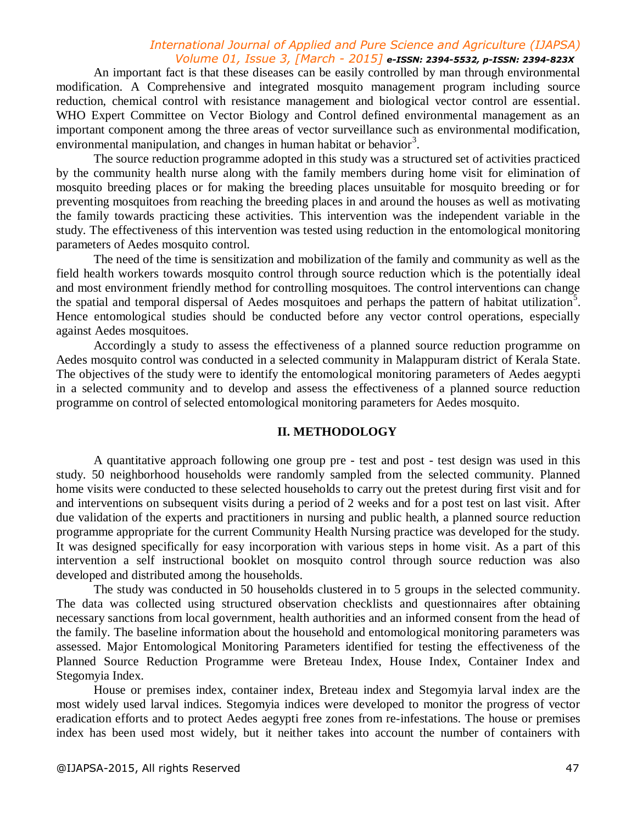### *International Journal of Applied and Pure Science and Agriculture (IJAPSA) Volume 01, Issue 3, [March - 2015] e-ISSN: 2394-5532, p-ISSN: 2394-823X*

An important fact is that these diseases can be easily controlled by man through environmental modification. A Comprehensive and integrated mosquito management program including source reduction, chemical control with resistance management and biological vector control are essential. WHO Expert Committee on Vector Biology and Control defined environmental management as an important component among the three areas of vector surveillance such as environmental modification, environmental manipulation, and changes in human habitat or behavior<sup>3</sup>.

The source reduction programme adopted in this study was a structured set of activities practiced by the community health nurse along with the family members during home visit for elimination of mosquito breeding places or for making the breeding places unsuitable for mosquito breeding or for preventing mosquitoes from reaching the breeding places in and around the houses as well as motivating the family towards practicing these activities. This intervention was the independent variable in the study. The effectiveness of this intervention was tested using reduction in the entomological monitoring parameters of Aedes mosquito control.

The need of the time is sensitization and mobilization of the family and community as well as the field health workers towards mosquito control through source reduction which is the potentially ideal and most environment friendly method for controlling mosquitoes. The control interventions can change the spatial and temporal dispersal of Aedes mosquitoes and perhaps the pattern of habitat utilization<sup>5</sup>. Hence entomological studies should be conducted before any vector control operations, especially against Aedes mosquitoes.

Accordingly a study to assess the effectiveness of a planned source reduction programme on Aedes mosquito control was conducted in a selected community in Malappuram district of Kerala State. The objectives of the study were to identify the entomological monitoring parameters of Aedes aegypti in a selected community and to develop and assess the effectiveness of a planned source reduction programme on control of selected entomological monitoring parameters for Aedes mosquito.

### **II. METHODOLOGY**

A quantitative approach following one group pre - test and post - test design was used in this study. 50 neighborhood households were randomly sampled from the selected community. Planned home visits were conducted to these selected households to carry out the pretest during first visit and for and interventions on subsequent visits during a period of 2 weeks and for a post test on last visit. After due validation of the experts and practitioners in nursing and public health, a planned source reduction programme appropriate for the current Community Health Nursing practice was developed for the study. It was designed specifically for easy incorporation with various steps in home visit. As a part of this intervention a self instructional booklet on mosquito control through source reduction was also developed and distributed among the households.

The study was conducted in 50 households clustered in to 5 groups in the selected community. The data was collected using structured observation checklists and questionnaires after obtaining necessary sanctions from local government, health authorities and an informed consent from the head of the family. The baseline information about the household and entomological monitoring parameters was assessed. Major Entomological Monitoring Parameters identified for testing the effectiveness of the Planned Source Reduction Programme were Breteau Index, House Index, Container Index and Stegomyia Index.

House or premises index, container index, Breteau index and Stegomyia larval index are the most widely used larval indices. Stegomyia indices were developed to monitor the progress of vector eradication efforts and to protect Aedes aegypti free zones from re-infestations. The house or premises index has been used most widely, but it neither takes into account the number of containers with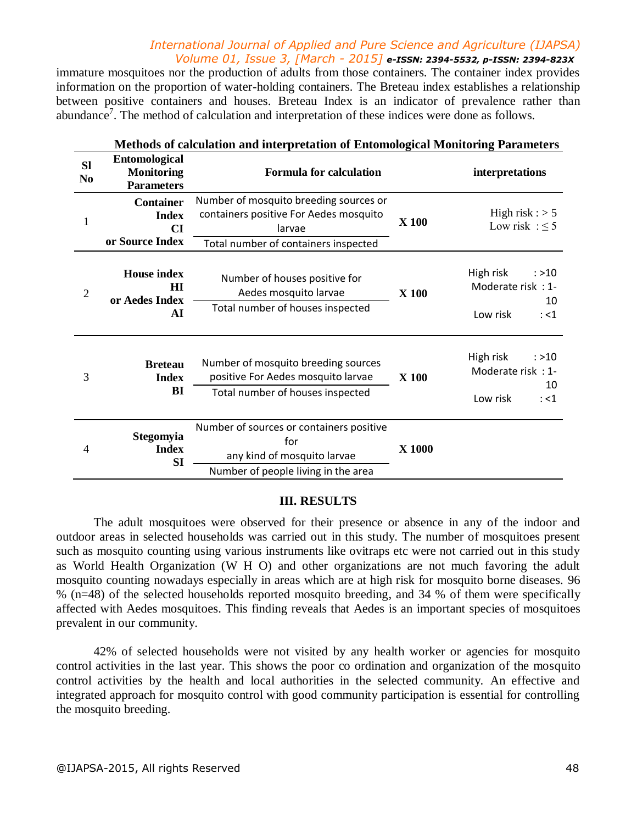# *International Journal of Applied and Pure Science and Agriculture (IJAPSA) Volume 01, Issue 3, [March - 2015] e-ISSN: 2394-5532, p-ISSN: 2394-823X*

immature mosquitoes nor the production of adults from those containers. The container index provides information on the proportion of water-holding containers. The Breteau index establishes a relationship between positive containers and houses. Breteau Index is an indicator of prevalence rather than abundance<sup>7</sup>. The method of calculation and interpretation of these indices were done as follows.

| <b>NETROUS OF CALCULATION AND INTERPRETATION OF ENFOMOLOGICAL MONITORING PARAMETERS</b> |                                                                |                                                                                                                                    |              |                                                                     |  |  |  |  |
|-----------------------------------------------------------------------------------------|----------------------------------------------------------------|------------------------------------------------------------------------------------------------------------------------------------|--------------|---------------------------------------------------------------------|--|--|--|--|
| <b>SI</b><br>N <sub>0</sub>                                                             | <b>Entomological</b><br><b>Monitoring</b><br><b>Parameters</b> | <b>Formula for calculation</b>                                                                                                     |              | interpretations                                                     |  |  |  |  |
| $\mathbf{1}$                                                                            | <b>Container</b><br><b>Index</b><br>CI<br>or Source Index      | Number of mosquito breeding sources or<br>containers positive For Aedes mosquito<br>larvae<br>Total number of containers inspected | X 100        | High risk : $> 5$<br>Low risk : $\leq$ 5                            |  |  |  |  |
| $\mathfrak{2}$                                                                          | <b>House index</b><br>$\mathbf{H}$<br>or Aedes Index<br>AI     | Number of houses positive for<br>Aedes mosquito larvae<br>Total number of houses inspected                                         | <b>X</b> 100 | High risk<br>: >10<br>Moderate risk: 1-<br>10<br>Low risk<br>$:$ <1 |  |  |  |  |
| 3                                                                                       | <b>Breteau</b><br><b>Index</b><br>BI                           | Number of mosquito breeding sources<br>positive For Aedes mosquito larvae<br>Total number of houses inspected                      | <b>X</b> 100 | High risk<br>: >10<br>Moderate risk: 1-<br>10<br>Low risk<br>: <1   |  |  |  |  |
| 4                                                                                       | Stegomyia<br><b>Index</b><br><b>SI</b>                         | Number of sources or containers positive<br>for<br>any kind of mosquito larvae<br>Number of people living in the area              | X 1000       |                                                                     |  |  |  |  |

# **Methods of calculation and interpretation of Entomological Monitoring Parameters**

### **III. RESULTS**

The adult mosquitoes were observed for their presence or absence in any of the indoor and outdoor areas in selected households was carried out in this study. The number of mosquitoes present such as mosquito counting using various instruments like ovitraps etc were not carried out in this study as World Health Organization (W H O) and other organizations are not much favoring the adult mosquito counting nowadays especially in areas which are at high risk for mosquito borne diseases. 96 % (n=48) of the selected households reported mosquito breeding, and 34 % of them were specifically affected with Aedes mosquitoes. This finding reveals that Aedes is an important species of mosquitoes prevalent in our community.

42% of selected households were not visited by any health worker or agencies for mosquito control activities in the last year. This shows the poor co ordination and organization of the mosquito control activities by the health and local authorities in the selected community. An effective and integrated approach for mosquito control with good community participation is essential for controlling the mosquito breeding.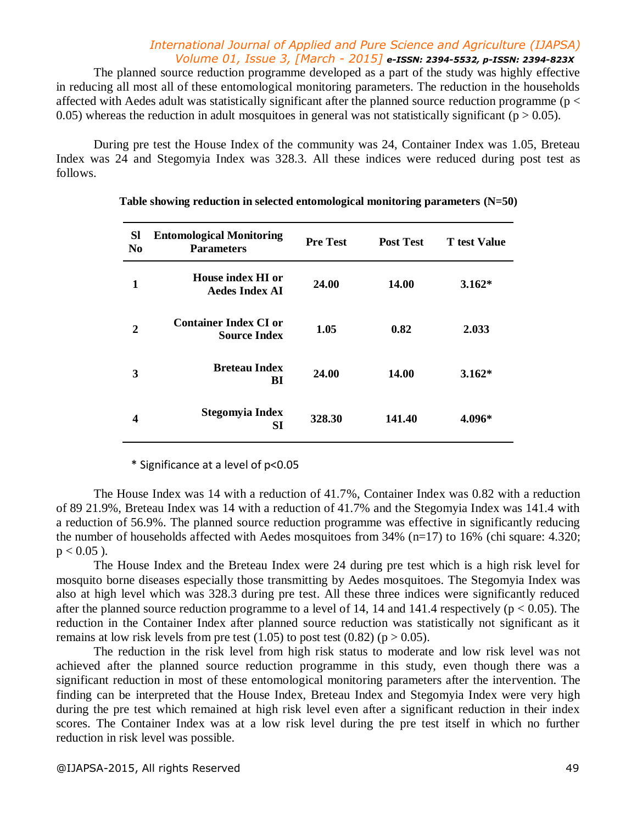### *International Journal of Applied and Pure Science and Agriculture (IJAPSA) Volume 01, Issue 3, [March - 2015] e-ISSN: 2394-5532, p-ISSN: 2394-823X*

The planned source reduction programme developed as a part of the study was highly effective in reducing all most all of these entomological monitoring parameters. The reduction in the households affected with Aedes adult was statistically significant after the planned source reduction programme ( $p <$ 0.05) whereas the reduction in adult mosquitoes in general was not statistically significant ( $p > 0.05$ ).

During pre test the House Index of the community was 24, Container Index was 1.05, Breteau Index was 24 and Stegomyia Index was 328.3. All these indices were reduced during post test as follows.

| <b>Sl</b><br>N <sub>0</sub> | <b>Entomological Monitoring</b><br><b>Parameters</b> | <b>Pre Test</b> | <b>Post Test</b> | T test Value |
|-----------------------------|------------------------------------------------------|-----------------|------------------|--------------|
| 1                           | House index HI or<br><b>Aedes Index AI</b>           | 24.00           | 14.00            | $3.162*$     |
| $\mathbf{2}$                | <b>Container Index CI or</b><br><b>Source Index</b>  | 1.05            | 0.82             | 2.033        |
| 3                           | <b>Breteau Index</b><br>BI                           | 24.00           | 14.00            | $3.162*$     |
| 4                           | <b>Stegomyia Index</b><br><b>SI</b>                  | 328.30          | 141.40           | 4.096*       |

### **Table showing reduction in selected entomological monitoring parameters (N=50)**

\* Significance at a level of p<0.05

The House Index was 14 with a reduction of 41.7%, Container Index was 0.82 with a reduction of 89 21.9%, Breteau Index was 14 with a reduction of 41.7% and the Stegomyia Index was 141.4 with a reduction of 56.9%. The planned source reduction programme was effective in significantly reducing the number of households affected with Aedes mosquitoes from 34% (n=17) to 16% (chi square: 4.320;  $p < 0.05$ ).

The House Index and the Breteau Index were 24 during pre test which is a high risk level for mosquito borne diseases especially those transmitting by Aedes mosquitoes. The Stegomyia Index was also at high level which was 328.3 during pre test. All these three indices were significantly reduced after the planned source reduction programme to a level of 14, 14 and 141.4 respectively ( $p < 0.05$ ). The reduction in the Container Index after planned source reduction was statistically not significant as it remains at low risk levels from pre test  $(1.05)$  to post test  $(0.82)$  (p  $> 0.05$ ).

The reduction in the risk level from high risk status to moderate and low risk level was not achieved after the planned source reduction programme in this study, even though there was a significant reduction in most of these entomological monitoring parameters after the intervention. The finding can be interpreted that the House Index, Breteau Index and Stegomyia Index were very high during the pre test which remained at high risk level even after a significant reduction in their index scores. The Container Index was at a low risk level during the pre test itself in which no further reduction in risk level was possible.